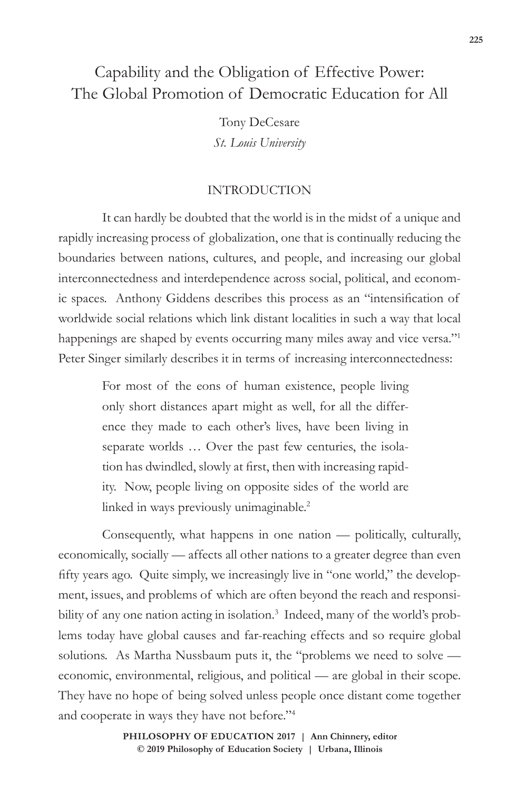# Capability and the Obligation of Effective Power: The Global Promotion of Democratic Education for All

Tony DeCesare *St. Louis University*

### INTRODUCTION

It can hardly be doubted that the world is in the midst of a unique and rapidly increasing process of globalization, one that is continually reducing the boundaries between nations, cultures, and people, and increasing our global interconnectedness and interdependence across social, political, and economic spaces. Anthony Giddens describes this process as an "intensification of worldwide social relations which link distant localities in such a way that local happenings are shaped by events occurring many miles away and vice versa."<sup>1</sup> Peter Singer similarly describes it in terms of increasing interconnectedness:

> For most of the eons of human existence, people living only short distances apart might as well, for all the difference they made to each other's lives, have been living in separate worlds … Over the past few centuries, the isolation has dwindled, slowly at first, then with increasing rapidity. Now, people living on opposite sides of the world are linked in ways previously unimaginable.2

Consequently, what happens in one nation — politically, culturally, economically, socially — affects all other nations to a greater degree than even fifty years ago. Quite simply, we increasingly live in "one world," the development, issues, and problems of which are often beyond the reach and responsibility of any one nation acting in isolation.<sup>3</sup> Indeed, many of the world's problems today have global causes and far-reaching effects and so require global solutions. As Martha Nussbaum puts it, the "problems we need to solve economic, environmental, religious, and political — are global in their scope. They have no hope of being solved unless people once distant come together and cooperate in ways they have not before."4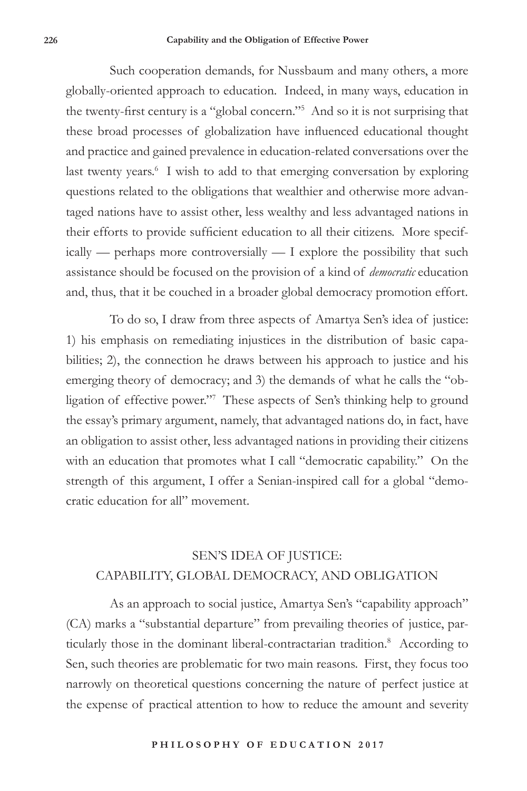Such cooperation demands, for Nussbaum and many others, a more globally-oriented approach to education. Indeed, in many ways, education in the twenty-first century is a "global concern."<sup>5</sup> And so it is not surprising that these broad processes of globalization have influenced educational thought and practice and gained prevalence in education-related conversations over the last twenty years.<sup>6</sup> I wish to add to that emerging conversation by exploring questions related to the obligations that wealthier and otherwise more advantaged nations have to assist other, less wealthy and less advantaged nations in their efforts to provide sufficient education to all their citizens. More specifically — perhaps more controversially — I explore the possibility that such assistance should be focused on the provision of a kind of *democratic* education and, thus, that it be couched in a broader global democracy promotion effort.

To do so, I draw from three aspects of Amartya Sen's idea of justice: 1) his emphasis on remediating injustices in the distribution of basic capabilities; 2), the connection he draws between his approach to justice and his emerging theory of democracy; and 3) the demands of what he calls the "obligation of effective power."7 These aspects of Sen's thinking help to ground the essay's primary argument, namely, that advantaged nations do, in fact, have an obligation to assist other, less advantaged nations in providing their citizens with an education that promotes what I call "democratic capability." On the strength of this argument, I offer a Senian-inspired call for a global "democratic education for all" movement.

## SEN'S IDEA OF JUSTICE: CAPABILITY, GLOBAL DEMOCRACY, AND OBLIGATION

As an approach to social justice, Amartya Sen's "capability approach" (CA) marks a "substantial departure" from prevailing theories of justice, particularly those in the dominant liberal-contractarian tradition.<sup>8</sup> According to Sen, such theories are problematic for two main reasons. First, they focus too narrowly on theoretical questions concerning the nature of perfect justice at the expense of practical attention to how to reduce the amount and severity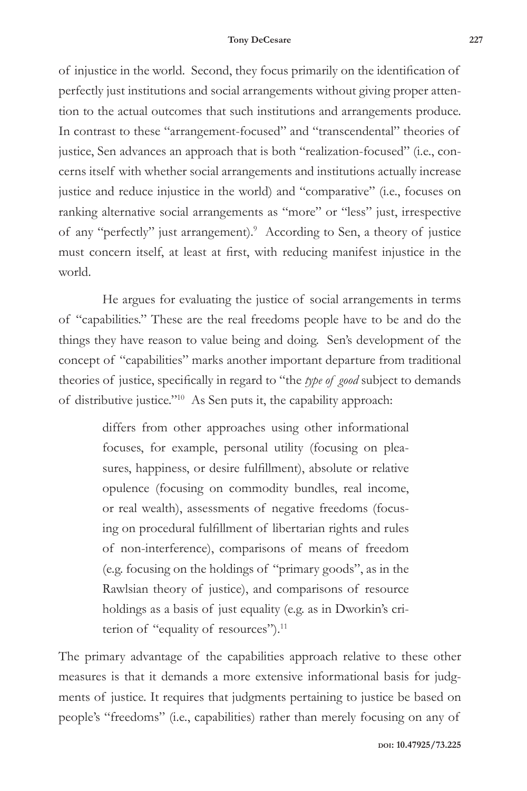of injustice in the world. Second, they focus primarily on the identification of perfectly just institutions and social arrangements without giving proper attention to the actual outcomes that such institutions and arrangements produce. In contrast to these "arrangement-focused" and "transcendental" theories of justice, Sen advances an approach that is both "realization-focused" (i.e., concerns itself with whether social arrangements and institutions actually increase justice and reduce injustice in the world) and "comparative" (i.e., focuses on ranking alternative social arrangements as "more" or "less" just, irrespective of any "perfectly" just arrangement).<sup>9</sup> According to Sen, a theory of justice must concern itself, at least at first, with reducing manifest injustice in the world.

He argues for evaluating the justice of social arrangements in terms of "capabilities." These are the real freedoms people have to be and do the things they have reason to value being and doing. Sen's development of the concept of "capabilities" marks another important departure from traditional theories of justice, specifically in regard to "the *type of good* subject to demands of distributive justice."10 As Sen puts it, the capability approach:

> differs from other approaches using other informational focuses, for example, personal utility (focusing on pleasures, happiness, or desire fulfillment), absolute or relative opulence (focusing on commodity bundles, real income, or real wealth), assessments of negative freedoms (focusing on procedural fulfillment of libertarian rights and rules of non-interference), comparisons of means of freedom (e.g. focusing on the holdings of "primary goods", as in the Rawlsian theory of justice), and comparisons of resource holdings as a basis of just equality (e.g. as in Dworkin's criterion of "equality of resources").<sup>11</sup>

The primary advantage of the capabilities approach relative to these other measures is that it demands a more extensive informational basis for judgments of justice. It requires that judgments pertaining to justice be based on people's "freedoms" (i.e., capabilities) rather than merely focusing on any of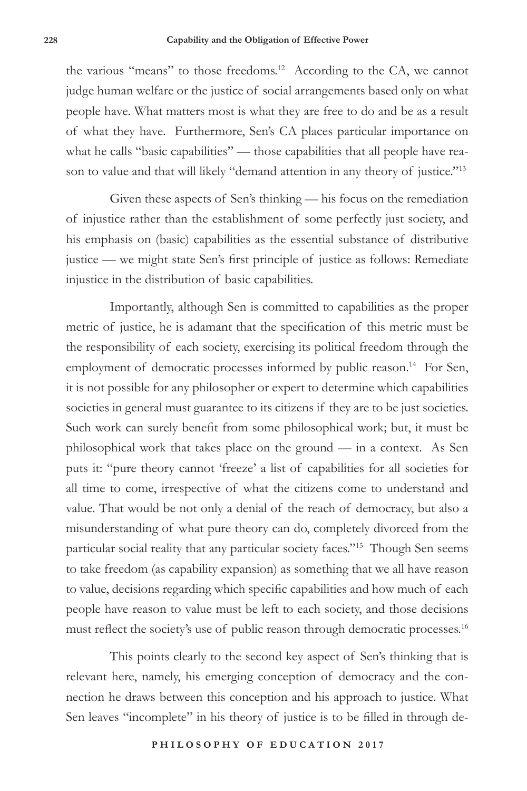the various "means" to those freedoms.<sup>12</sup> According to the CA, we cannot judge human welfare or the justice of social arrangements based only on what people have. What matters most is what they are free to do and be as a result of what they have. Furthermore, Sen's CA places particular importance on what he calls "basic capabilities" — those capabilities that all people have reason to value and that will likely "demand attention in any theory of justice."<sup>13</sup>

Given these aspects of Sen's thinking — his focus on the remediation of injustice rather than the establishment of some perfectly just society, and his emphasis on (basic) capabilities as the essential substance of distributive justice — we might state Sen's first principle of justice as follows: Remediate injustice in the distribution of basic capabilities.

Importantly, although Sen is committed to capabilities as the proper metric of justice, he is adamant that the specification of this metric must be the responsibility of each society, exercising its political freedom through the employment of democratic processes informed by public reason.<sup>14</sup> For Sen, it is not possible for any philosopher or expert to determine which capabilities societies in general must guarantee to its citizens if they are to be just societies. Such work can surely benefit from some philosophical work; but, it must be philosophical work that takes place on the ground — in a context. As Sen puts it: "pure theory cannot 'freeze' a list of capabilities for all societies for all time to come, irrespective of what the citizens come to understand and value. That would be not only a denial of the reach of democracy, but also a misunderstanding of what pure theory can do, completely divorced from the particular social reality that any particular society faces."15 Though Sen seems to take freedom (as capability expansion) as something that we all have reason to value, decisions regarding which specific capabilities and how much of each people have reason to value must be left to each society, and those decisions must reflect the society's use of public reason through democratic processes.<sup>16</sup>

This points clearly to the second key aspect of Sen's thinking that is relevant here, namely, his emerging conception of democracy and the connection he draws between this conception and his approach to justice. What Sen leaves "incomplete" in his theory of justice is to be filled in through de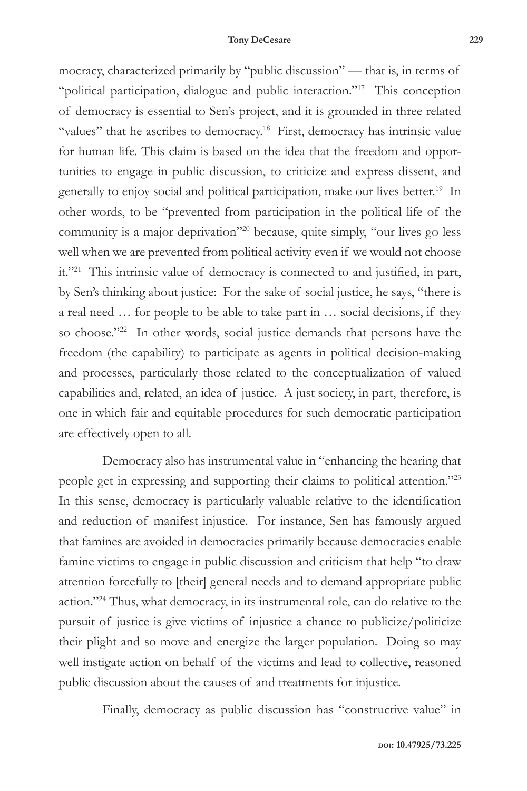mocracy, characterized primarily by "public discussion" — that is, in terms of "political participation, dialogue and public interaction."17 This conception of democracy is essential to Sen's project, and it is grounded in three related "values" that he ascribes to democracy.<sup>18</sup> First, democracy has intrinsic value for human life. This claim is based on the idea that the freedom and opportunities to engage in public discussion, to criticize and express dissent, and generally to enjoy social and political participation, make our lives better.<sup>19</sup> In other words, to be "prevented from participation in the political life of the community is a major deprivation"20 because, quite simply, "our lives go less well when we are prevented from political activity even if we would not choose it."<sup>21</sup> This intrinsic value of democracy is connected to and justified, in part, by Sen's thinking about justice: For the sake of social justice, he says, "there is a real need … for people to be able to take part in … social decisions, if they so choose."<sup>22</sup> In other words, social justice demands that persons have the freedom (the capability) to participate as agents in political decision-making and processes, particularly those related to the conceptualization of valued capabilities and, related, an idea of justice. A just society, in part, therefore, is one in which fair and equitable procedures for such democratic participation are effectively open to all.

Democracy also has instrumental value in "enhancing the hearing that people get in expressing and supporting their claims to political attention."23 In this sense, democracy is particularly valuable relative to the identification and reduction of manifest injustice. For instance, Sen has famously argued that famines are avoided in democracies primarily because democracies enable famine victims to engage in public discussion and criticism that help "to draw attention forcefully to [their] general needs and to demand appropriate public action."24 Thus, what democracy, in its instrumental role, can do relative to the pursuit of justice is give victims of injustice a chance to publicize/politicize their plight and so move and energize the larger population. Doing so may well instigate action on behalf of the victims and lead to collective, reasoned public discussion about the causes of and treatments for injustice.

Finally, democracy as public discussion has "constructive value" in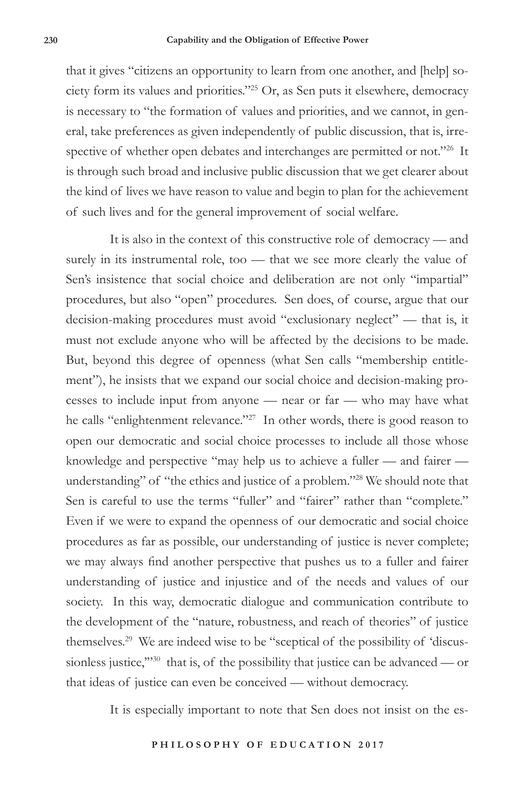that it gives "citizens an opportunity to learn from one another, and [help] society form its values and priorities."25 Or, as Sen puts it elsewhere, democracy is necessary to "the formation of values and priorities, and we cannot, in general, take preferences as given independently of public discussion, that is, irrespective of whether open debates and interchanges are permitted or not."26 It is through such broad and inclusive public discussion that we get clearer about the kind of lives we have reason to value and begin to plan for the achievement of such lives and for the general improvement of social welfare.

It is also in the context of this constructive role of democracy — and surely in its instrumental role, too — that we see more clearly the value of Sen's insistence that social choice and deliberation are not only "impartial" procedures, but also "open" procedures. Sen does, of course, argue that our decision-making procedures must avoid "exclusionary neglect" — that is, it must not exclude anyone who will be affected by the decisions to be made. But, beyond this degree of openness (what Sen calls "membership entitlement"), he insists that we expand our social choice and decision-making processes to include input from anyone — near or far — who may have what he calls "enlightenment relevance."<sup>27</sup> In other words, there is good reason to open our democratic and social choice processes to include all those whose knowledge and perspective "may help us to achieve a fuller — and fairer understanding" of "the ethics and justice of a problem."28 We should note that Sen is careful to use the terms "fuller" and "fairer" rather than "complete." Even if we were to expand the openness of our democratic and social choice procedures as far as possible, our understanding of justice is never complete; we may always find another perspective that pushes us to a fuller and fairer understanding of justice and injustice and of the needs and values of our society. In this way, democratic dialogue and communication contribute to the development of the "nature, robustness, and reach of theories" of justice themselves.29 We are indeed wise to be "sceptical of the possibility of 'discussionless justice,"<sup>30</sup> that is, of the possibility that justice can be advanced — or that ideas of justice can even be conceived — without democracy.

It is especially important to note that Sen does not insist on the es-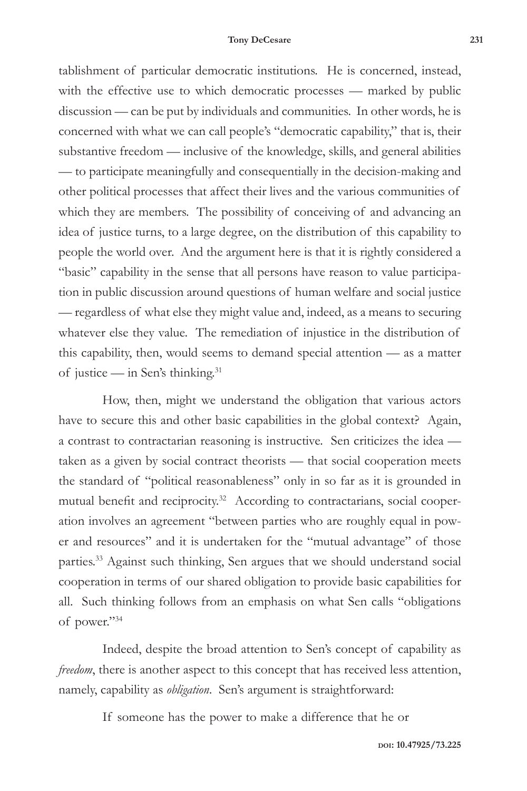tablishment of particular democratic institutions. He is concerned, instead, with the effective use to which democratic processes — marked by public discussion — can be put by individuals and communities. In other words, he is concerned with what we can call people's "democratic capability," that is, their substantive freedom — inclusive of the knowledge, skills, and general abilities — to participate meaningfully and consequentially in the decision-making and other political processes that affect their lives and the various communities of which they are members. The possibility of conceiving of and advancing an idea of justice turns, to a large degree, on the distribution of this capability to people the world over. And the argument here is that it is rightly considered a "basic" capability in the sense that all persons have reason to value participation in public discussion around questions of human welfare and social justice — regardless of what else they might value and, indeed, as a means to securing whatever else they value. The remediation of injustice in the distribution of this capability, then, would seems to demand special attention — as a matter of justice — in Sen's thinking.<sup>31</sup>

How, then, might we understand the obligation that various actors have to secure this and other basic capabilities in the global context? Again, a contrast to contractarian reasoning is instructive. Sen criticizes the idea taken as a given by social contract theorists — that social cooperation meets the standard of "political reasonableness" only in so far as it is grounded in mutual benefit and reciprocity.<sup>32</sup> According to contractarians, social cooperation involves an agreement "between parties who are roughly equal in power and resources" and it is undertaken for the "mutual advantage" of those parties.33 Against such thinking, Sen argues that we should understand social cooperation in terms of our shared obligation to provide basic capabilities for all. Such thinking follows from an emphasis on what Sen calls "obligations of power."34

Indeed, despite the broad attention to Sen's concept of capability as *freedom*, there is another aspect to this concept that has received less attention, namely, capability as *obligation*. Sen's argument is straightforward:

If someone has the power to make a difference that he or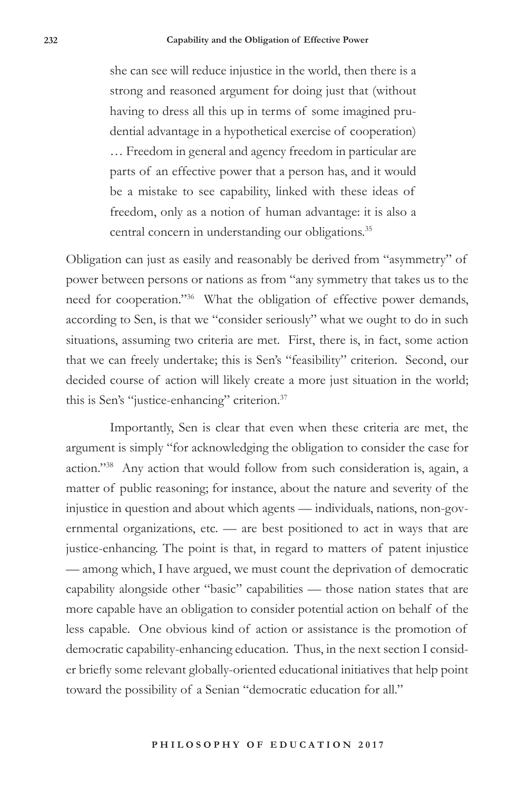she can see will reduce injustice in the world, then there is a strong and reasoned argument for doing just that (without having to dress all this up in terms of some imagined prudential advantage in a hypothetical exercise of cooperation) … Freedom in general and agency freedom in particular are parts of an effective power that a person has, and it would be a mistake to see capability, linked with these ideas of freedom, only as a notion of human advantage: it is also a central concern in understanding our obligations.<sup>35</sup>

Obligation can just as easily and reasonably be derived from "asymmetry" of power between persons or nations as from "any symmetry that takes us to the need for cooperation."36 What the obligation of effective power demands, according to Sen, is that we "consider seriously" what we ought to do in such situations, assuming two criteria are met. First, there is, in fact, some action that we can freely undertake; this is Sen's "feasibility" criterion. Second, our decided course of action will likely create a more just situation in the world; this is Sen's "justice-enhancing" criterion.37

Importantly, Sen is clear that even when these criteria are met, the argument is simply "for acknowledging the obligation to consider the case for action."38 Any action that would follow from such consideration is, again, a matter of public reasoning; for instance, about the nature and severity of the injustice in question and about which agents — individuals, nations, non-governmental organizations, etc. — are best positioned to act in ways that are justice-enhancing. The point is that, in regard to matters of patent injustice — among which, I have argued, we must count the deprivation of democratic capability alongside other "basic" capabilities — those nation states that are more capable have an obligation to consider potential action on behalf of the less capable. One obvious kind of action or assistance is the promotion of democratic capability-enhancing education. Thus, in the next section I consider briefly some relevant globally-oriented educational initiatives that help point toward the possibility of a Senian "democratic education for all."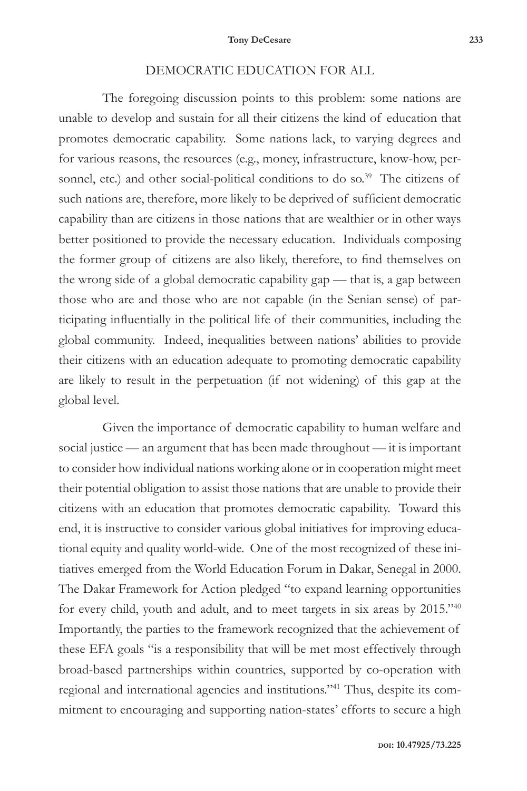### DEMOCRATIC EDUCATION FOR ALL

The foregoing discussion points to this problem: some nations are unable to develop and sustain for all their citizens the kind of education that promotes democratic capability. Some nations lack, to varying degrees and for various reasons, the resources (e.g., money, infrastructure, know-how, personnel, etc.) and other social-political conditions to do so.<sup>39</sup> The citizens of such nations are, therefore, more likely to be deprived of sufficient democratic capability than are citizens in those nations that are wealthier or in other ways better positioned to provide the necessary education. Individuals composing the former group of citizens are also likely, therefore, to find themselves on the wrong side of a global democratic capability gap — that is, a gap between those who are and those who are not capable (in the Senian sense) of participating influentially in the political life of their communities, including the global community. Indeed, inequalities between nations' abilities to provide their citizens with an education adequate to promoting democratic capability are likely to result in the perpetuation (if not widening) of this gap at the global level.

Given the importance of democratic capability to human welfare and social justice — an argument that has been made throughout — it is important to consider how individual nations working alone or in cooperation might meet their potential obligation to assist those nations that are unable to provide their citizens with an education that promotes democratic capability. Toward this end, it is instructive to consider various global initiatives for improving educational equity and quality world-wide. One of the most recognized of these initiatives emerged from the World Education Forum in Dakar, Senegal in 2000. The Dakar Framework for Action pledged "to expand learning opportunities for every child, youth and adult, and to meet targets in six areas by 2015."40 Importantly, the parties to the framework recognized that the achievement of these EFA goals "is a responsibility that will be met most effectively through broad-based partnerships within countries, supported by co-operation with regional and international agencies and institutions."41 Thus, despite its commitment to encouraging and supporting nation-states' efforts to secure a high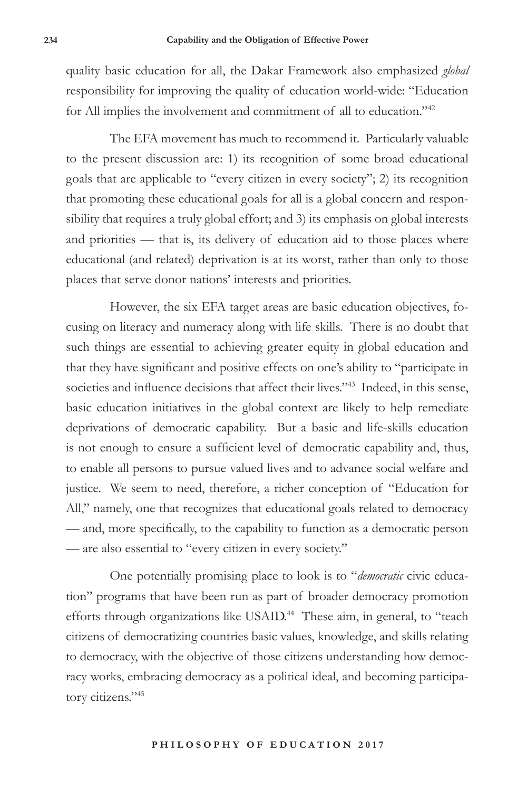quality basic education for all, the Dakar Framework also emphasized *global* responsibility for improving the quality of education world-wide: "Education for All implies the involvement and commitment of all to education."42

The EFA movement has much to recommend it. Particularly valuable to the present discussion are: 1) its recognition of some broad educational goals that are applicable to "every citizen in every society"; 2) its recognition that promoting these educational goals for all is a global concern and responsibility that requires a truly global effort; and 3) its emphasis on global interests and priorities — that is, its delivery of education aid to those places where educational (and related) deprivation is at its worst, rather than only to those places that serve donor nations' interests and priorities.

However, the six EFA target areas are basic education objectives, focusing on literacy and numeracy along with life skills. There is no doubt that such things are essential to achieving greater equity in global education and that they have significant and positive effects on one's ability to "participate in societies and influence decisions that affect their lives."<sup>43</sup> Indeed, in this sense, basic education initiatives in the global context are likely to help remediate deprivations of democratic capability. But a basic and life-skills education is not enough to ensure a sufficient level of democratic capability and, thus, to enable all persons to pursue valued lives and to advance social welfare and justice. We seem to need, therefore, a richer conception of "Education for All," namely, one that recognizes that educational goals related to democracy — and, more specifically, to the capability to function as a democratic person — are also essential to "every citizen in every society."

One potentially promising place to look is to "*democratic* civic education" programs that have been run as part of broader democracy promotion efforts through organizations like USAID.<sup>44</sup> These aim, in general, to "teach citizens of democratizing countries basic values, knowledge, and skills relating to democracy, with the objective of those citizens understanding how democracy works, embracing democracy as a political ideal, and becoming participatory citizens."45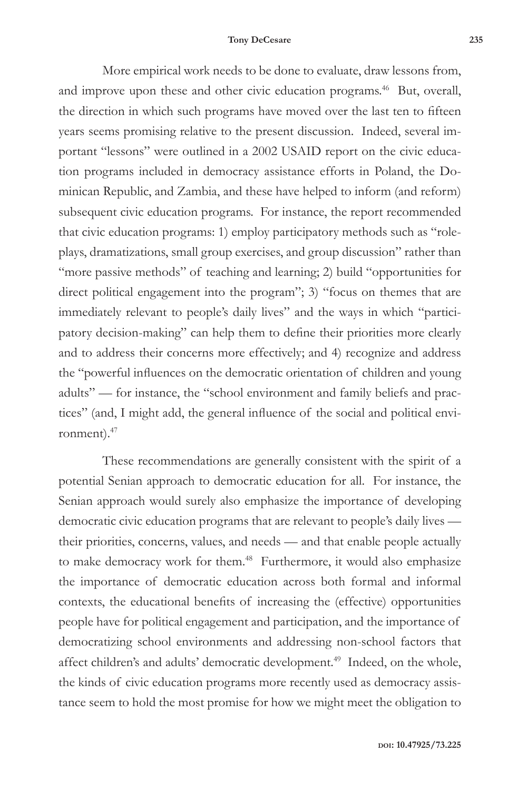#### **Tony DeCesare 235**

More empirical work needs to be done to evaluate, draw lessons from, and improve upon these and other civic education programs.<sup>46</sup> But, overall, the direction in which such programs have moved over the last ten to fifteen years seems promising relative to the present discussion. Indeed, several important "lessons" were outlined in a 2002 USAID report on the civic education programs included in democracy assistance efforts in Poland, the Dominican Republic, and Zambia, and these have helped to inform (and reform) subsequent civic education programs. For instance, the report recommended that civic education programs: 1) employ participatory methods such as "roleplays, dramatizations, small group exercises, and group discussion" rather than "more passive methods" of teaching and learning; 2) build "opportunities for direct political engagement into the program"; 3) "focus on themes that are immediately relevant to people's daily lives" and the ways in which "participatory decision-making" can help them to define their priorities more clearly and to address their concerns more effectively; and 4) recognize and address the "powerful influences on the democratic orientation of children and young adults" — for instance, the "school environment and family beliefs and practices" (and, I might add, the general influence of the social and political environment).47

These recommendations are generally consistent with the spirit of a potential Senian approach to democratic education for all. For instance, the Senian approach would surely also emphasize the importance of developing democratic civic education programs that are relevant to people's daily lives their priorities, concerns, values, and needs — and that enable people actually to make democracy work for them.<sup>48</sup> Furthermore, it would also emphasize the importance of democratic education across both formal and informal contexts, the educational benefits of increasing the (effective) opportunities people have for political engagement and participation, and the importance of democratizing school environments and addressing non-school factors that affect children's and adults' democratic development.<sup>49</sup> Indeed, on the whole, the kinds of civic education programs more recently used as democracy assistance seem to hold the most promise for how we might meet the obligation to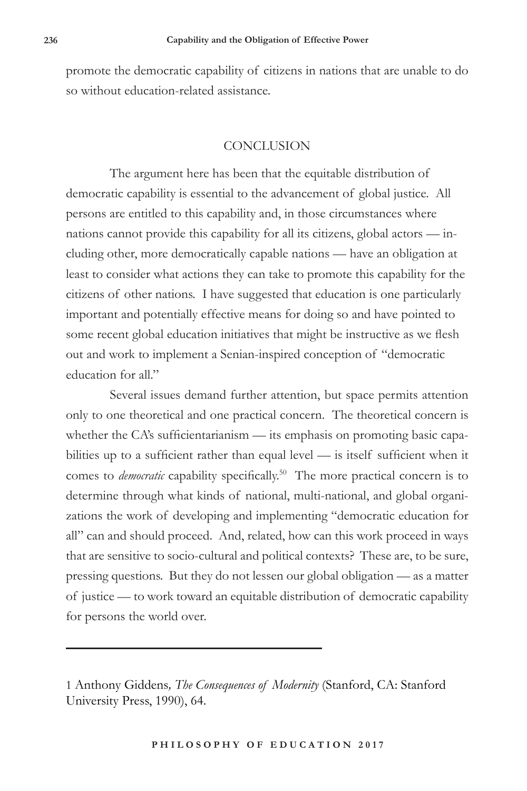promote the democratic capability of citizens in nations that are unable to do so without education-related assistance.

#### **CONCLUSION**

The argument here has been that the equitable distribution of democratic capability is essential to the advancement of global justice. All persons are entitled to this capability and, in those circumstances where nations cannot provide this capability for all its citizens, global actors — including other, more democratically capable nations — have an obligation at least to consider what actions they can take to promote this capability for the citizens of other nations. I have suggested that education is one particularly important and potentially effective means for doing so and have pointed to some recent global education initiatives that might be instructive as we flesh out and work to implement a Senian-inspired conception of "democratic education for all."

Several issues demand further attention, but space permits attention only to one theoretical and one practical concern. The theoretical concern is whether the CA's sufficientarianism — its emphasis on promoting basic capabilities up to a sufficient rather than equal level — is itself sufficient when it comes to *democratic* capability specifically.<sup>50</sup> The more practical concern is to determine through what kinds of national, multi-national, and global organizations the work of developing and implementing "democratic education for all" can and should proceed. And, related, how can this work proceed in ways that are sensitive to socio-cultural and political contexts? These are, to be sure, pressing questions. But they do not lessen our global obligation — as a matter of justice — to work toward an equitable distribution of democratic capability for persons the world over.

<sup>1</sup> Anthony Giddens*, The Consequences of Modernity* (Stanford, CA: Stanford University Press, 1990), 64.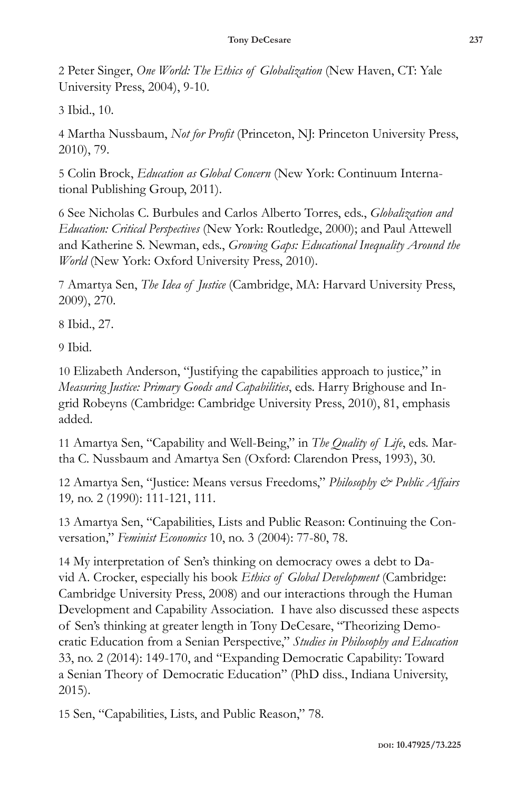2 Peter Singer, *One World: The Ethics of Globalization* (New Haven, CT: Yale University Press, 2004), 9-10.

3 Ibid., 10.

4 Martha Nussbaum, *Not for Profit* (Princeton, NJ: Princeton University Press, 2010), 79.

5 Colin Brock, *Education as Global Concern* (New York: Continuum International Publishing Group, 2011).

6 See Nicholas C. Burbules and Carlos Alberto Torres, eds., *Globalization and Education: Critical Perspectives* (New York: Routledge, 2000); and Paul Attewell and Katherine S. Newman, eds., *Growing Gaps: Educational Inequality Around the World* (New York: Oxford University Press, 2010).

7 Amartya Sen, *The Idea of Justice* (Cambridge, MA: Harvard University Press, 2009), 270.

8 Ibid., 27.

9 Ibid.

10 Elizabeth Anderson, "Justifying the capabilities approach to justice," in *Measuring Justice: Primary Goods and Capabilities*, eds. Harry Brighouse and Ingrid Robeyns (Cambridge: Cambridge University Press, 2010), 81, emphasis added.

11 Amartya Sen, "Capability and Well-Being," in *The Quality of Life*, eds. Martha C. Nussbaum and Amartya Sen (Oxford: Clarendon Press, 1993), 30.

12 Amartya Sen, "Justice: Means versus Freedoms," *Philosophy & Public Affairs*  19*,* no. 2 (1990): 111-121, 111.

13 Amartya Sen, "Capabilities, Lists and Public Reason: Continuing the Conversation," *Feminist Economics* 10, no. 3 (2004): 77-80, 78.

14 My interpretation of Sen's thinking on democracy owes a debt to David A. Crocker, especially his book *Ethics of Global Development* (Cambridge: Cambridge University Press, 2008) and our interactions through the Human Development and Capability Association. I have also discussed these aspects of Sen's thinking at greater length in Tony DeCesare, "Theorizing Democratic Education from a Senian Perspective," *Studies in Philosophy and Education*  33, no. 2 (2014): 149-170, and "Expanding Democratic Capability: Toward a Senian Theory of Democratic Education" (PhD diss., Indiana University, 2015).

15 Sen, "Capabilities, Lists, and Public Reason," 78.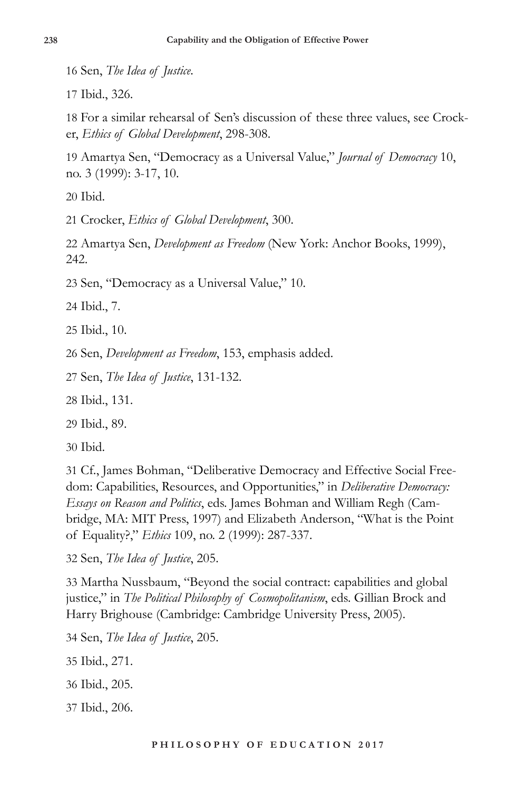16 Sen, *The Idea of Justice*.

17 Ibid., 326.

18 For a similar rehearsal of Sen's discussion of these three values, see Crocker, *Ethics of Global Development*, 298-308.

19 Amartya Sen, "Democracy as a Universal Value," *Journal of Democracy* 10, no. 3 (1999): 3-17, 10.

20 Ibid.

21 Crocker, *Ethics of Global Development*, 300.

22 Amartya Sen, *Development as Freedom* (New York: Anchor Books, 1999), 242.

23 Sen, "Democracy as a Universal Value," 10.

24 Ibid., 7.

25 Ibid., 10.

26 Sen, *Development as Freedom*, 153, emphasis added.

27 Sen, *The Idea of Justice*, 131-132.

28 Ibid., 131.

29 Ibid., 89.

30 Ibid.

31 Cf., James Bohman, "Deliberative Democracy and Effective Social Freedom: Capabilities, Resources, and Opportunities," in *Deliberative Democracy: Essays on Reason and Politics*, eds. James Bohman and William Regh (Cambridge, MA: MIT Press, 1997) and Elizabeth Anderson, "What is the Point of Equality?," *Ethics* 109, no. 2 (1999): 287-337.

32 Sen, *The Idea of Justice*, 205.

33 Martha Nussbaum, "Beyond the social contract: capabilities and global justice," in *The Political Philosophy of Cosmopolitanism*, eds. Gillian Brock and Harry Brighouse (Cambridge: Cambridge University Press, 2005).

34 Sen, *The Idea of Justice*, 205.

- 35 Ibid., 271.
- 36 Ibid., 205.
- 37 Ibid., 206.